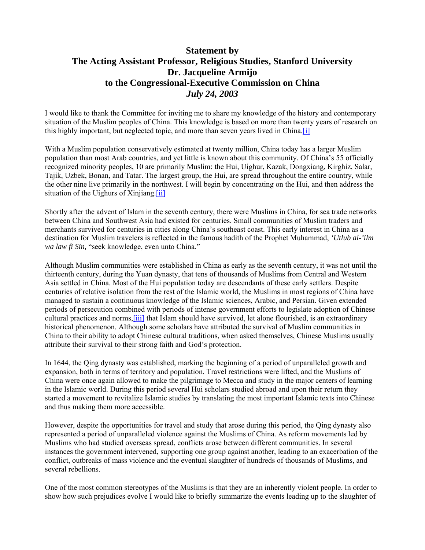# **Statement by The Acting Assistant Professor, Religious Studies, Stanford University Dr. Jacqueline Armijo to the Congressional-Executive Commission on China**  *July 24, 2003*

I would like to thank the Committee for inviting me to share my knowledge of the history and contemporary situation of the Muslim peoples of China. This knowledge is based on more than twenty years of research on this highly important, but neglected topic, and more than seven years lived in China.[i]

With a Muslim population conservatively estimated at twenty million, China today has a larger Muslim population than most Arab countries, and yet little is known about this community. Of China's 55 officially recognized minority peoples, 10 are primarily Muslim: the Hui, Uighur, Kazak, Dongxiang, Kirghiz, Salar, Tajik, Uzbek, Bonan, and Tatar. The largest group, the Hui, are spread throughout the entire country, while the other nine live primarily in the northwest. I will begin by concentrating on the Hui, and then address the situation of the Uighurs of Xinjiang.<sup>[ii]</sup>

Shortly after the advent of Islam in the seventh century, there were Muslims in China, for sea trade networks between China and Southwest Asia had existed for centuries. Small communities of Muslim traders and merchants survived for centuries in cities along China's southeast coast. This early interest in China as a destination for Muslim travelers is reflected in the famous hadith of the Prophet Muhammad, *'Utlub al-'ilm wa law fi Sin,* "seek knowledge, even unto China."

Although Muslim communities were established in China as early as the seventh century, it was not until the thirteenth century, during the Yuan dynasty, that tens of thousands of Muslims from Central and Western Asia settled in China. Most of the Hui population today are descendants of these early settlers. Despite centuries of relative isolation from the rest of the Islamic world, the Muslims in most regions of China have managed to sustain a continuous knowledge of the Islamic sciences, Arabic, and Persian. Given extended periods of persecution combined with periods of intense government efforts to legislate adoption of Chinese cultural practices and norms,[iii] that Islam should have survived, let alone flourished, is an extraordinary historical phenomenon. Although some scholars have attributed the survival of Muslim communities in China to their ability to adopt Chinese cultural traditions, when asked themselves, Chinese Muslims usually attribute their survival to their strong faith and God's protection.

In 1644, the Qing dynasty was established, marking the beginning of a period of unparalleled growth and expansion, both in terms of territory and population. Travel restrictions were lifted, and the Muslims of China were once again allowed to make the pilgrimage to Mecca and study in the major centers of learning in the Islamic world. During this period several Hui scholars studied abroad and upon their return they started a movement to revitalize Islamic studies by translating the most important Islamic texts into Chinese and thus making them more accessible.

However, despite the opportunities for travel and study that arose during this period, the Qing dynasty also represented a period of unparalleled violence against the Muslims of China. As reform movements led by Muslims who had studied overseas spread, conflicts arose between different communities. In several instances the government intervened, supporting one group against another, leading to an exacerbation of the conflict, outbreaks of mass violence and the eventual slaughter of hundreds of thousands of Muslims, and several rebellions.

One of the most common stereotypes of the Muslims is that they are an inherently violent people. In order to show how such prejudices evolve I would like to briefly summarize the events leading up to the slaughter of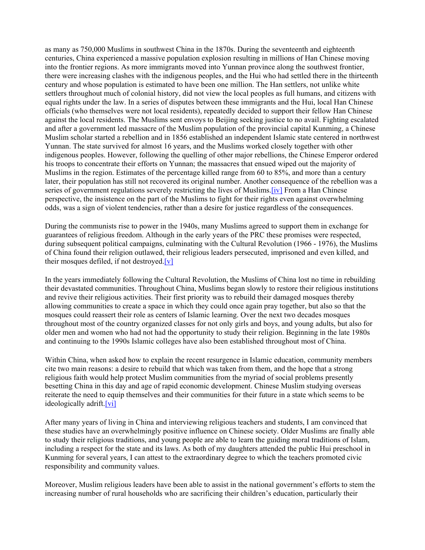as many as 750,000 Muslims in southwest China in the 1870s. During the seventeenth and eighteenth centuries, China experienced a massive population explosion resulting in millions of Han Chinese moving into the frontier regions. As more immigrants moved into Yunnan province along the southwest frontier, there were increasing clashes with the indigenous peoples, and the Hui who had settled there in the thirteenth century and whose population is estimated to have been one million. The Han settlers, not unlike white settlers throughout much of colonial history, did not view the local peoples as full humans, and citizens with equal rights under the law. In a series of disputes between these immigrants and the Hui, local Han Chinese officials (who themselves were not local residents), repeatedly decided to support their fellow Han Chinese against the local residents. The Muslims sent envoys to Beijing seeking justice to no avail. Fighting escalated and after a government led massacre of the Muslim population of the provincial capital Kunming, a Chinese Muslim scholar started a rebellion and in 1856 established an independent Islamic state centered in northwest Yunnan. The state survived for almost 16 years, and the Muslims worked closely together with other indigenous peoples. However, following the quelling of other major rebellions, the Chinese Emperor ordered his troops to concentrate their efforts on Yunnan; the massacres that ensued wiped out the majority of Muslims in the region. Estimates of the percentage killed range from 60 to 85%, and more than a century later, their population has still not recovered its original number. Another consequence of the rebellion was a series of government regulations severely restricting the lives of Muslims. [iv] From a Han Chinese perspective, the insistence on the part of the Muslims to fight for their rights even against overwhelming odds, was a sign of violent tendencies, rather than a desire for justice regardless of the consequences.

During the communists rise to power in the 1940s, many Muslims agreed to support them in exchange for guarantees of religious freedom. Although in the early years of the PRC these promises were respected, during subsequent political campaigns, culminating with the Cultural Revolution (1966 - 1976), the Muslims of China found their religion outlawed, their religious leaders persecuted, imprisoned and even killed, and their mosques defiled, if not destroyed.[v]

In the years immediately following the Cultural Revolution, the Muslims of China lost no time in rebuilding their devastated communities. Throughout China, Muslims began slowly to restore their religious institutions and revive their religious activities. Their first priority was to rebuild their damaged mosques thereby allowing communities to create a space in which they could once again pray together, but also so that the mosques could reassert their role as centers of Islamic learning. Over the next two decades mosques throughout most of the country organized classes for not only girls and boys, and young adults, but also for older men and women who had not had the opportunity to study their religion. Beginning in the late 1980s and continuing to the 1990s Islamic colleges have also been established throughout most of China.

Within China, when asked how to explain the recent resurgence in Islamic education, community members cite two main reasons: a desire to rebuild that which was taken from them, and the hope that a strong religious faith would help protect Muslim communities from the myriad of social problems presently besetting China in this day and age of rapid economic development. Chinese Muslim studying overseas reiterate the need to equip themselves and their communities for their future in a state which seems to be ideologically adrift.[vi]

After many years of living in China and interviewing religious teachers and students, I am convinced that these studies have an overwhelmingly positive influence on Chinese society. Older Muslims are finally able to study their religious traditions, and young people are able to learn the guiding moral traditions of Islam, including a respect for the state and its laws. As both of my daughters attended the public Hui preschool in Kunming for several years, I can attest to the extraordinary degree to which the teachers promoted civic responsibility and community values.

Moreover, Muslim religious leaders have been able to assist in the national government's efforts to stem the increasing number of rural households who are sacrificing their children's education, particularly their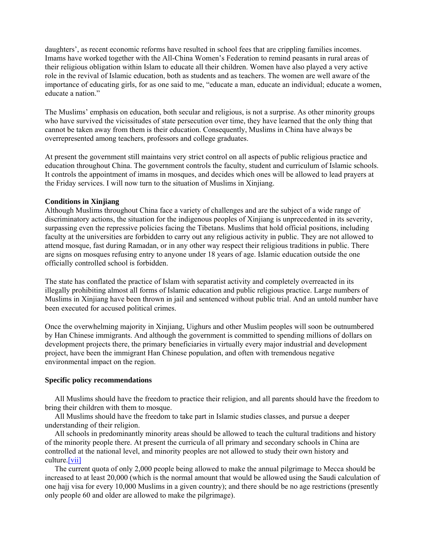daughters', as recent economic reforms have resulted in school fees that are crippling families incomes. Imams have worked together with the All-China Women's Federation to remind peasants in rural areas of their religious obligation within Islam to educate all their children. Women have also played a very active role in the revival of Islamic education, both as students and as teachers. The women are well aware of the importance of educating girls, for as one said to me, "educate a man, educate an individual; educate a women, educate a nation."

The Muslims' emphasis on education, both secular and religious, is not a surprise. As other minority groups who have survived the vicissitudes of state persecution over time, they have learned that the only thing that cannot be taken away from them is their education. Consequently, Muslims in China have always be overrepresented among teachers, professors and college graduates.

At present the government still maintains very strict control on all aspects of public religious practice and education throughout China. The government controls the faculty, student and curriculum of Islamic schools. It controls the appointment of imams in mosques, and decides which ones will be allowed to lead prayers at the Friday services. I will now turn to the situation of Muslims in Xinjiang.

## **Conditions in Xinjiang**

Although Muslims throughout China face a variety of challenges and are the subject of a wide range of discriminatory actions, the situation for the indigenous peoples of Xinjiang is unprecedented in its severity, surpassing even the repressive policies facing the Tibetans. Muslims that hold official positions, including faculty at the universities are forbidden to carry out any religious activity in public. They are not allowed to attend mosque, fast during Ramadan, or in any other way respect their religious traditions in public. There are signs on mosques refusing entry to anyone under 18 years of age. Islamic education outside the one officially controlled school is forbidden.

The state has conflated the practice of Islam with separatist activity and completely overreacted in its illegally prohibiting almost all forms of Islamic education and public religious practice. Large numbers of Muslims in Xinjiang have been thrown in jail and sentenced without public trial. And an untold number have been executed for accused political crimes.

Once the overwhelming majority in Xinjiang, Uighurs and other Muslim peoples will soon be outnumbered by Han Chinese immigrants. And although the government is committed to spending millions of dollars on development projects there, the primary beneficiaries in virtually every major industrial and development project, have been the immigrant Han Chinese population, and often with tremendous negative environmental impact on the region.

# **Specific policy recommendations**

 All Muslims should have the freedom to practice their religion, and all parents should have the freedom to bring their children with them to mosque.

 All Muslims should have the freedom to take part in Islamic studies classes, and pursue a deeper understanding of their religion.

 All schools in predominantly minority areas should be allowed to teach the cultural traditions and history of the minority people there. At present the curricula of all primary and secondary schools in China are controlled at the national level, and minority peoples are not allowed to study their own history and culture.[vii]

 The current quota of only 2,000 people being allowed to make the annual pilgrimage to Mecca should be increased to at least 20,000 (which is the normal amount that would be allowed using the Saudi calculation of one hajj visa for every 10,000 Muslims in a given country); and there should be no age restrictions (presently only people 60 and older are allowed to make the pilgrimage).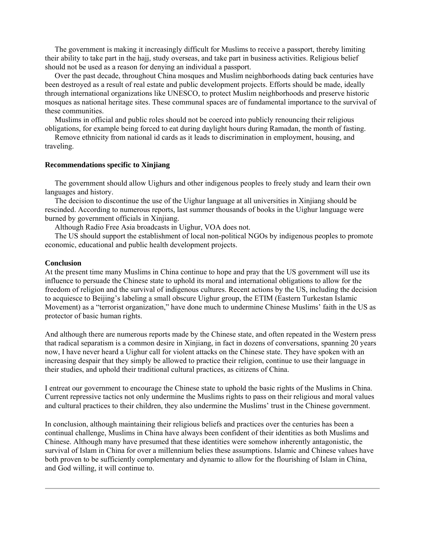The government is making it increasingly difficult for Muslims to receive a passport, thereby limiting their ability to take part in the hajj, study overseas, and take part in business activities. Religious belief should not be used as a reason for denying an individual a passport.

 Over the past decade, throughout China mosques and Muslim neighborhoods dating back centuries have been destroyed as a result of real estate and public development projects. Efforts should be made, ideally through international organizations like UNESCO, to protect Muslim neighborhoods and preserve historic mosques as national heritage sites. These communal spaces are of fundamental importance to the survival of these communities.

 Muslims in official and public roles should not be coerced into publicly renouncing their religious obligations, for example being forced to eat during daylight hours during Ramadan, the month of fasting.

 Remove ethnicity from national id cards as it leads to discrimination in employment, housing, and traveling.

#### **Recommendations specific to Xinjiang**

 The government should allow Uighurs and other indigenous peoples to freely study and learn their own languages and history.

 The decision to discontinue the use of the Uighur language at all universities in Xinjiang should be rescinded. According to numerous reports, last summer thousands of books in the Uighur language were burned by government officials in Xinjiang.

Although Radio Free Asia broadcasts in Uighur, VOA does not.

 The US should support the establishment of local non-political NGOs by indigenous peoples to promote economic, educational and public health development projects.

## **Conclusion**

At the present time many Muslims in China continue to hope and pray that the US government will use its influence to persuade the Chinese state to uphold its moral and international obligations to allow for the freedom of religion and the survival of indigenous cultures. Recent actions by the US, including the decision to acquiesce to Beijing's labeling a small obscure Uighur group, the ETIM (Eastern Turkestan Islamic Movement) as a "terrorist organization," have done much to undermine Chinese Muslims' faith in the US as protector of basic human rights.

And although there are numerous reports made by the Chinese state, and often repeated in the Western press that radical separatism is a common desire in Xinjiang, in fact in dozens of conversations, spanning 20 years now, I have never heard a Uighur call for violent attacks on the Chinese state. They have spoken with an increasing despair that they simply be allowed to practice their religion, continue to use their language in their studies, and uphold their traditional cultural practices, as citizens of China.

I entreat our government to encourage the Chinese state to uphold the basic rights of the Muslims in China. Current repressive tactics not only undermine the Muslims rights to pass on their religious and moral values and cultural practices to their children, they also undermine the Muslims' trust in the Chinese government.

In conclusion, although maintaining their religious beliefs and practices over the centuries has been a continual challenge, Muslims in China have always been confident of their identities as both Muslims and Chinese. Although many have presumed that these identities were somehow inherently antagonistic, the survival of Islam in China for over a millennium belies these assumptions. Islamic and Chinese values have both proven to be sufficiently complementary and dynamic to allow for the flourishing of Islam in China, and God willing, it will continue to.